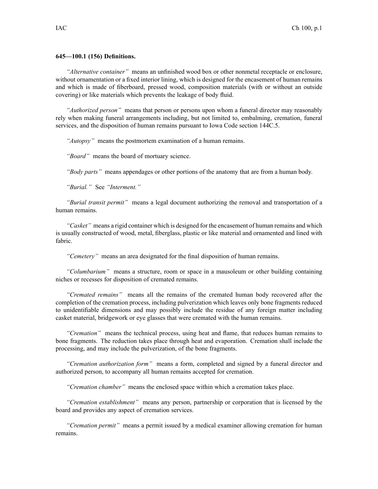## **645—100.1 (156) Definitions.**

*"Alternative container"* means an unfinished wood box or other nonmetal receptacle or enclosure, without ornamentation or <sup>a</sup> fixed interior lining, which is designed for the encasement of human remains and which is made of fiberboard, pressed wood, composition materials (with or without an outside covering) or like materials which prevents the leakage of body fluid.

*"Authorized person"* means that person or persons upon whom <sup>a</sup> funeral director may reasonably rely when making funeral arrangements including, but not limited to, embalming, cremation, funeral services, and the disposition of human remains pursuan<sup>t</sup> to Iowa Code section [144C.5](https://www.legis.iowa.gov/docs/ico/section/2017/144C.5.pdf).

*"Autopsy"* means the postmortem examination of <sup>a</sup> human remains.

*"Board"* means the board of mortuary science.

*"Body parts"* means appendages or other portions of the anatomy that are from <sup>a</sup> human body.

*"Burial."* See *"Interment."*

*"Burial transit permit"* means <sup>a</sup> legal document authorizing the removal and transportation of <sup>a</sup> human remains.

*"Casket"* means <sup>a</sup> rigid container which is designed for the encasement of human remains and which is usually constructed of wood, metal, fiberglass, plastic or like material and ornamented and lined with fabric.

*"Cemetery"* means an area designated for the final disposition of human remains.

*"Columbarium"* means <sup>a</sup> structure, room or space in <sup>a</sup> mausoleum or other building containing niches or recesses for disposition of cremated remains.

*"Cremated remains"* means all the remains of the cremated human body recovered after the completion of the cremation process, including pulverization which leaves only bone fragments reduced to unidentifiable dimensions and may possibly include the residue of any foreign matter including casket material, bridgework or eye glasses that were cremated with the human remains.

*"Cremation"* means the technical process, using heat and flame, that reduces human remains to bone fragments. The reduction takes place through heat and evaporation. Cremation shall include the processing, and may include the pulverization, of the bone fragments.

*"Cremation authorization form"* means <sup>a</sup> form, completed and signed by <sup>a</sup> funeral director and authorized person, to accompany all human remains accepted for cremation.

*"Cremation chamber"* means the enclosed space within which <sup>a</sup> cremation takes place.

*"Cremation establishment"* means any person, partnership or corporation that is licensed by the board and provides any aspec<sup>t</sup> of cremation services.

*"Cremation permit"* means <sup>a</sup> permit issued by <sup>a</sup> medical examiner allowing cremation for human remains.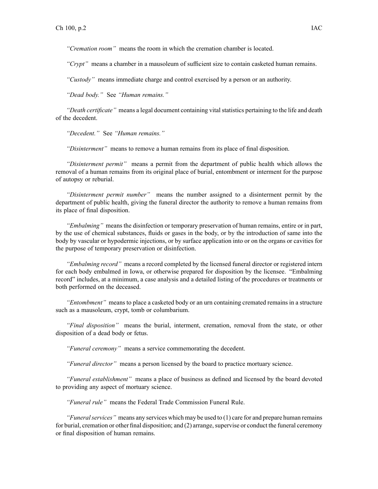*"Cremation room"* means the room in which the cremation chamber is located.

*"Crypt"* means <sup>a</sup> chamber in <sup>a</sup> mausoleum of sufficient size to contain casketed human remains.

*"Custody"* means immediate charge and control exercised by <sup>a</sup> person or an authority.

*"Dead body."* See *"Human remains."*

*"Death certificate"* means a legal document containing vital statistics pertaining to the life and death of the decedent.

*"Decedent."* See *"Human remains."*

*"Disinterment"* means to remove <sup>a</sup> human remains from its place of final disposition.

*"Disinterment permit"* means <sup>a</sup> permit from the department of public health which allows the removal of <sup>a</sup> human remains from its original place of burial, entombment or interment for the purpose of autopsy or reburial.

*"Disinterment permit number"* means the number assigned to <sup>a</sup> disinterment permit by the department of public health, giving the funeral director the authority to remove <sup>a</sup> human remains from its place of final disposition.

*"Embalming"* means the disinfection or temporary preservation of human remains, entire or in part, by the use of chemical substances, fluids or gases in the body, or by the introduction of same into the body by vascular or hypodermic injections, or by surface application into or on the organs or cavities for the purpose of temporary preservation or disinfection.

*"Embalming record"* means <sup>a</sup> record completed by the licensed funeral director or registered intern for each body embalmed in Iowa, or otherwise prepared for disposition by the licensee. "Embalming record" includes, at <sup>a</sup> minimum, <sup>a</sup> case analysis and <sup>a</sup> detailed listing of the procedures or treatments or both performed on the deceased.

*"Entombment"* means to place <sup>a</sup> casketed body or an urn containing cremated remains in <sup>a</sup> structure such as <sup>a</sup> mausoleum, crypt, tomb or columbarium.

*"Final disposition"* means the burial, interment, cremation, removal from the state, or other disposition of <sup>a</sup> dead body or fetus.

*"Funeral ceremony"* means <sup>a</sup> service commemorating the decedent.

*"Funeral director"* means <sup>a</sup> person licensed by the board to practice mortuary science.

*"Funeral establishment"* means <sup>a</sup> place of business as defined and licensed by the board devoted to providing any aspec<sup>t</sup> of mortuary science.

*"Funeral rule"* means the Federal Trade Commission Funeral Rule.

*"Funeralservices"* means any services which may be used to (1) care for and prepare human remains for burial, cremation or other final disposition; and  $(2)$  arrange, supervise or conduct the funeral ceremony or final disposition of human remains.